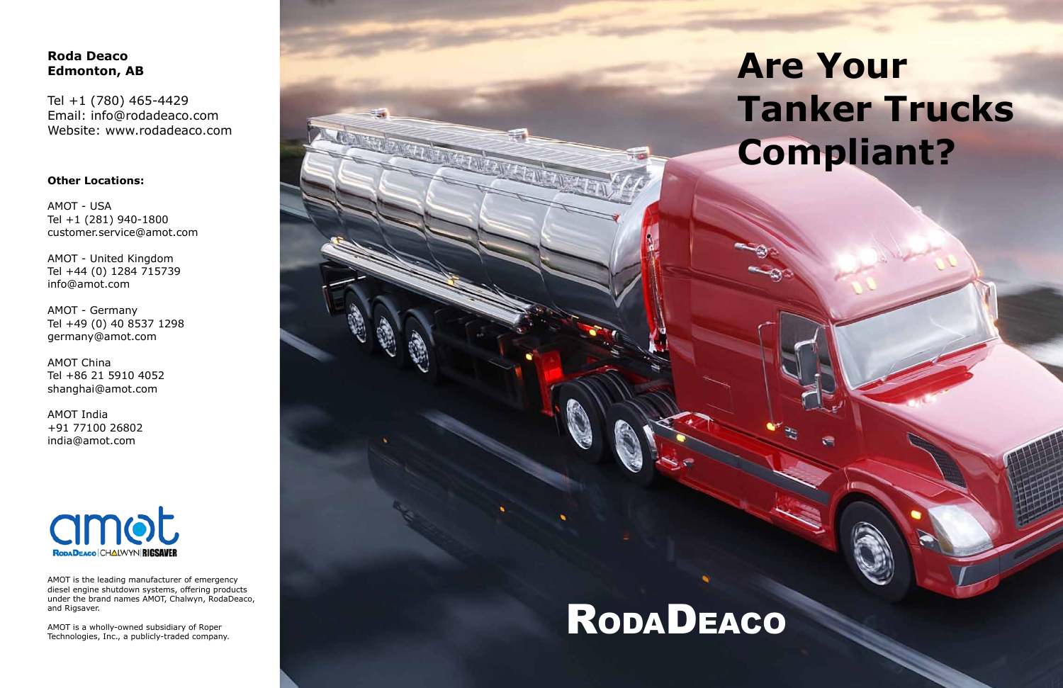# **Are Your Tanker Trucks Compliant?**

## **Roda Deaco Edmonton, AB**

Tel +1 (780) 465-4429 Email: info@rodadeaco.com Website: www.rodadeaco.com

#### **Other Locations:**

AMOT - USA Tel +1 (281) 940-1800 customer.service@amot.com

AMOT - United Kingdom Tel +44 (0) 1284 715739 info@amot.com

AMOT - Germany Tel +49 (0) 40 8537 1298 germany@amot.com

AMOT China Tel +86 21 5910 4052 shanghai@amot.com

AMOT India +91 77100 26802 india@amot.com



AMOT is the leading manufacturer of emergency diesel engine shutdown systems, offering products under the brand names AMOT, Chalwyn, RodaDeaco, and Rigsaver.

AMOT is a wholly-owned subsidiary of Roper<br>Technologies, Inc., a publicly-traded company.